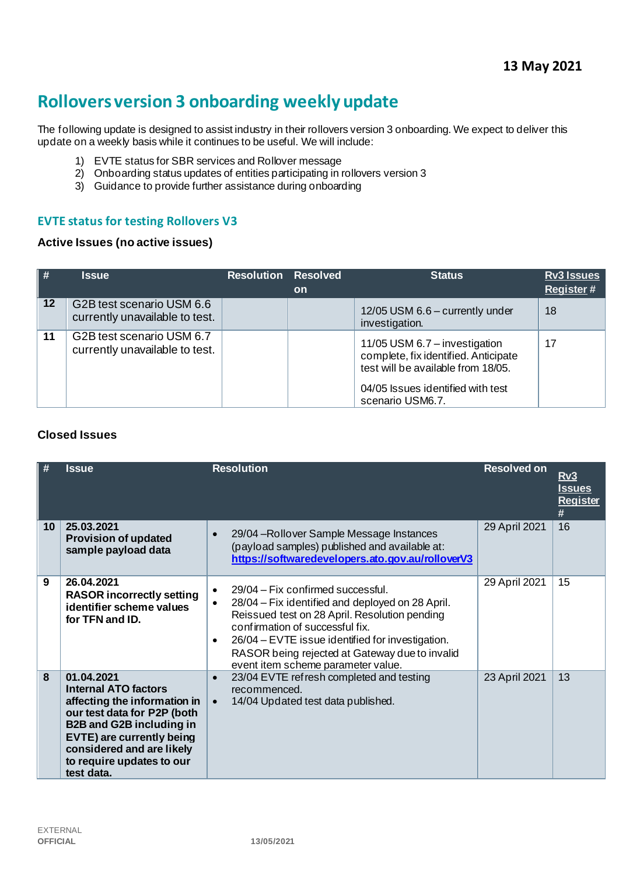# **Rollovers version 3 onboarding weekly update**

The following update is designed to assist industry in their rollovers version 3 onboarding. We expect to deliver this update on a weekly basis while it continues to be useful. We will include:

- 1) EVTE status for SBR services and Rollover message
- 2) Onboarding status updates of entities participating in rollovers version 3
- 3) Guidance to provide further assistance during onboarding

## **EVTE status for testing Rollovers V3**

#### **Active Issues (no active issues)**

| $\parallel$ # | <b>Issue</b>                                                | <b>Resolution Resolved</b> | <b>on</b> | <b>Status</b>                                                                                                                                                        | <b>Rv3 Issues</b><br><b>Register#</b> |
|---------------|-------------------------------------------------------------|----------------------------|-----------|----------------------------------------------------------------------------------------------------------------------------------------------------------------------|---------------------------------------|
| 12            | G2B test scenario USM 6.6<br>currently unavailable to test. |                            |           | 12/05 USM 6.6 - currently under<br>investigation.                                                                                                                    | 18                                    |
| 11            | G2B test scenario USM 6.7<br>currently unavailable to test. |                            |           | 11/05 USM 6.7 - investigation<br>complete, fix identified. Anticipate<br>test will be available from 18/05.<br>04/05 Issues identified with test<br>scenario USM6.7. | 17                                    |

#### **Closed Issues**

| #               | <b>Issue</b>                                                                                                                                                                                                                                     | <b>Resolution</b>                                                                                                                                                                                                                                                                                                                       | <b>Resolved on</b> | <u>Rv3</u><br><u>Issues</u><br><b>Register</b><br># |
|-----------------|--------------------------------------------------------------------------------------------------------------------------------------------------------------------------------------------------------------------------------------------------|-----------------------------------------------------------------------------------------------------------------------------------------------------------------------------------------------------------------------------------------------------------------------------------------------------------------------------------------|--------------------|-----------------------------------------------------|
| 10 <sup>°</sup> | 25.03.2021<br><b>Provision of updated</b><br>sample payload data                                                                                                                                                                                 | 29/04 - Rollover Sample Message Instances<br>$\bullet$<br>(payload samples) published and available at:<br>https://softwaredevelopers.ato.gov.au/rolloverV3                                                                                                                                                                             | 29 April 2021      | 16                                                  |
| 9               | 26.04.2021<br><b>RASOR incorrectly setting</b><br>identifier scheme values<br>for TFN and ID.                                                                                                                                                    | 29/04 – Fix confirmed successful.<br>$\bullet$<br>28/04 – Fix identified and deployed on 28 April.<br>Reissued test on 28 April. Resolution pending<br>confirmation of successful fix.<br>26/04 – EVTE issue identified for investigation.<br>٠<br>RASOR being rejected at Gateway due to invalid<br>event item scheme parameter value. | 29 April 2021      | 15                                                  |
| 8               | 01.04.2021<br><b>Internal ATO factors</b><br>affecting the information in<br>our test data for P2P (both<br><b>B2B and G2B including in</b><br>EVTE) are currently being<br>considered and are likely<br>to require updates to our<br>test data. | 23/04 EVTE refresh completed and testing<br>$\bullet$<br>recommenced.<br>14/04 Updated test data published.<br>$\bullet$                                                                                                                                                                                                                | 23 April 2021      | 13                                                  |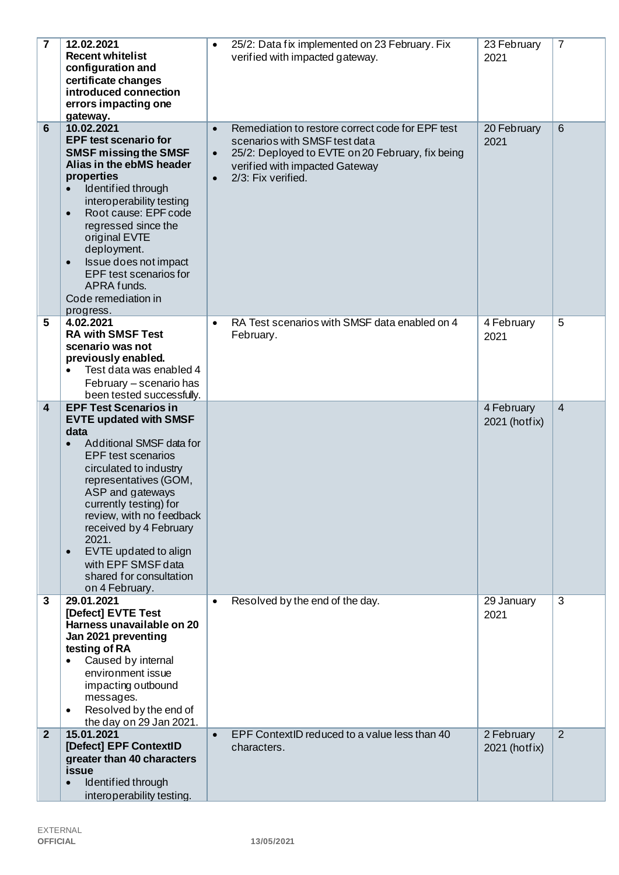| 7              | 12.02.2021<br><b>Recent whitelist</b><br>configuration and<br>certificate changes<br>introduced connection<br>errors impacting one<br>gateway.                                                                                                                                                                                                                                                                       | 25/2: Data fix implemented on 23 February. Fix<br>$\bullet$<br>verified with impacted gateway.                                                                                                                                       | 23 February<br>2021         | $\overline{7}$ |
|----------------|----------------------------------------------------------------------------------------------------------------------------------------------------------------------------------------------------------------------------------------------------------------------------------------------------------------------------------------------------------------------------------------------------------------------|--------------------------------------------------------------------------------------------------------------------------------------------------------------------------------------------------------------------------------------|-----------------------------|----------------|
| 6              | 10.02.2021<br><b>EPF test scenario for</b><br><b>SMSF missing the SMSF</b><br>Alias in the ebMS header<br>properties<br>Identified through<br>$\bullet$<br>interoperability testing<br>Root cause: EPF code<br>$\bullet$<br>regressed since the<br>original EVTE<br>deployment.<br>Issue does not impact<br>$\bullet$<br>EPF test scenarios for<br>APRA funds.<br>Code remediation in<br>progress.                   | Remediation to restore correct code for EPF test<br>$\bullet$<br>scenarios with SMSF test data<br>25/2: Deployed to EVTE on 20 February, fix being<br>$\bullet$<br>verified with impacted Gateway<br>2/3: Fix verified.<br>$\bullet$ | 20 February<br>2021         | 6              |
| 5              | 4.02.2021<br><b>RA with SMSF Test</b><br>scenario was not<br>previously enabled.<br>Test data was enabled 4<br>February - scenario has<br>been tested successfully.                                                                                                                                                                                                                                                  | RA Test scenarios with SMSF data enabled on 4<br>$\bullet$<br>February.                                                                                                                                                              | 4 February<br>2021          | 5              |
| 4              | <b>EPF Test Scenarios in</b><br><b>EVTE updated with SMSF</b><br>data<br>Additional SMSF data for<br>$\bullet$<br><b>EPF</b> test scenarios<br>circulated to industry<br>representatives (GOM,<br>ASP and gateways<br>currently testing) for<br>review, with no feedback<br>received by 4 February<br>2021.<br>EVTE updated to align<br>$\bullet$<br>with EPF SMSF data<br>shared for consultation<br>on 4 February. |                                                                                                                                                                                                                                      | 4 February<br>2021 (hotfix) | $\overline{4}$ |
| 3              | 29.01.2021<br>[Defect] EVTE Test<br>Harness unavailable on 20<br>Jan 2021 preventing<br>testing of RA<br>Caused by internal<br>environment issue<br>impacting outbound<br>messages.<br>Resolved by the end of<br>the day on 29 Jan 2021.                                                                                                                                                                             | Resolved by the end of the day.<br>$\bullet$                                                                                                                                                                                         | 29 January<br>2021          | 3              |
| $\overline{2}$ | 15.01.2021<br>[Defect] EPF ContextID<br>greater than 40 characters<br>issue<br>Identified through<br>interoperability testing.                                                                                                                                                                                                                                                                                       | EPF ContextID reduced to a value less than 40<br>$\bullet$<br>characters.                                                                                                                                                            | 2 February<br>2021 (hotfix) | 2              |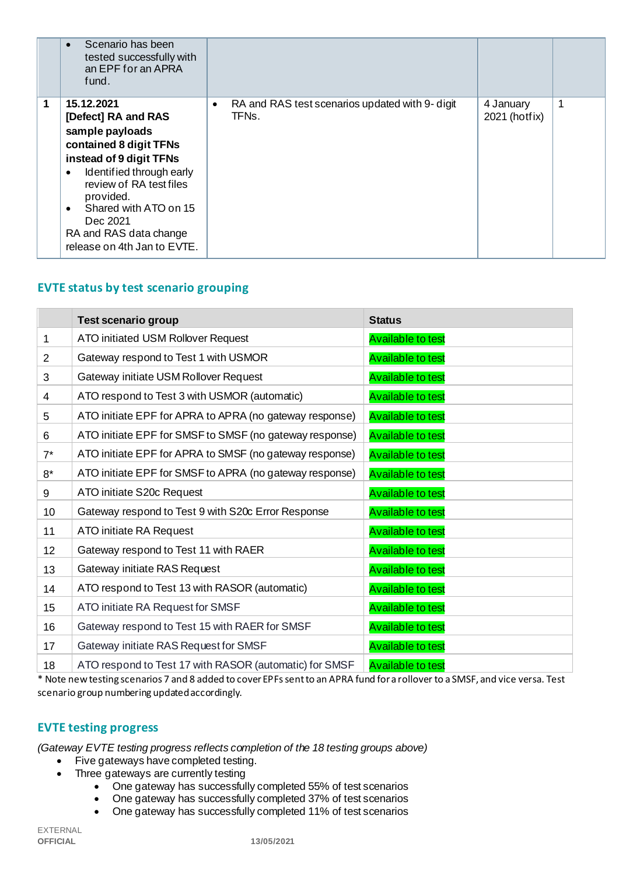|   | Scenario has been<br>$\bullet$<br>tested successfully with<br>an EPF for an APRA<br>fund.                                                                                                                                                                                                             |                                                                       |                            |    |
|---|-------------------------------------------------------------------------------------------------------------------------------------------------------------------------------------------------------------------------------------------------------------------------------------------------------|-----------------------------------------------------------------------|----------------------------|----|
| 1 | 15.12.2021<br>[Defect] RA and RAS<br>sample payloads<br>contained 8 digit TFNs<br>instead of 9 digit TFNs<br>Identified through early<br>$\bullet$<br>review of RA test files<br>provided.<br>Shared with ATO on 15<br>$\bullet$<br>Dec 2021<br>RA and RAS data change<br>release on 4th Jan to EVTE. | RA and RAS test scenarios updated with 9- digit<br>$\bullet$<br>TFNs. | 4 January<br>2021 (hotfix) | -1 |

# **EVTE status by test scenario grouping**

|                 | <b>Test scenario group</b>                              | <b>Status</b>            |
|-----------------|---------------------------------------------------------|--------------------------|
| 1               | ATO initiated USM Rollover Request                      | <b>Available to test</b> |
| $\overline{2}$  | Gateway respond to Test 1 with USMOR                    | <b>Available to test</b> |
| 3               | Gateway initiate USM Rollover Request                   | <b>Available to test</b> |
| 4               | ATO respond to Test 3 with USMOR (automatic)            | <b>Available to test</b> |
| 5               | ATO initiate EPF for APRA to APRA (no gateway response) | <b>Available to test</b> |
| 6               | ATO initiate EPF for SMSF to SMSF (no gateway response) | <b>Available to test</b> |
| $7^*$           | ATO initiate EPF for APRA to SMSF (no gateway response) | <b>Available to test</b> |
| $8*$            | ATO initiate EPF for SMSF to APRA (no gateway response) | <b>Available to test</b> |
| 9               | ATO initiate S20c Request                               | <b>Available to test</b> |
| 10 <sup>1</sup> | Gateway respond to Test 9 with S20c Error Response      | <b>Available to test</b> |
| 11              | ATO initiate RA Request                                 | <b>Available to test</b> |
| 12 <sup>2</sup> | Gateway respond to Test 11 with RAER                    | <b>Available to test</b> |
| 13              | Gateway initiate RAS Request                            | <b>Available to test</b> |
| 14              | ATO respond to Test 13 with RASOR (automatic)           | <b>Available to test</b> |
| 15              | ATO initiate RA Request for SMSF                        | <b>Available to test</b> |
| 16              | Gateway respond to Test 15 with RAER for SMSF           | <b>Available to test</b> |
| 17              | Gateway initiate RAS Request for SMSF                   | <b>Available to test</b> |
| 18              | ATO respond to Test 17 with RASOR (automatic) for SMSF  | <b>Available to test</b> |

\* Note new testing scenarios 7 and 8 added to cover EPFs sent to an APRA fund for a rollover to a SMSF, and vice versa. Test scenario group numbering updated accordingly.

## **EVTE testing progress**

*(Gateway EVTE testing progress reflects completion of the 18 testing groups above)*

• Five gateways have completed testing.

- Three gateways are currently testing
	- One gateway has successfully completed 55% of test scenarios
	- One gateway has successfully completed 37% of test scenarios
	- One gateway has successfully completed 11% of test scenarios